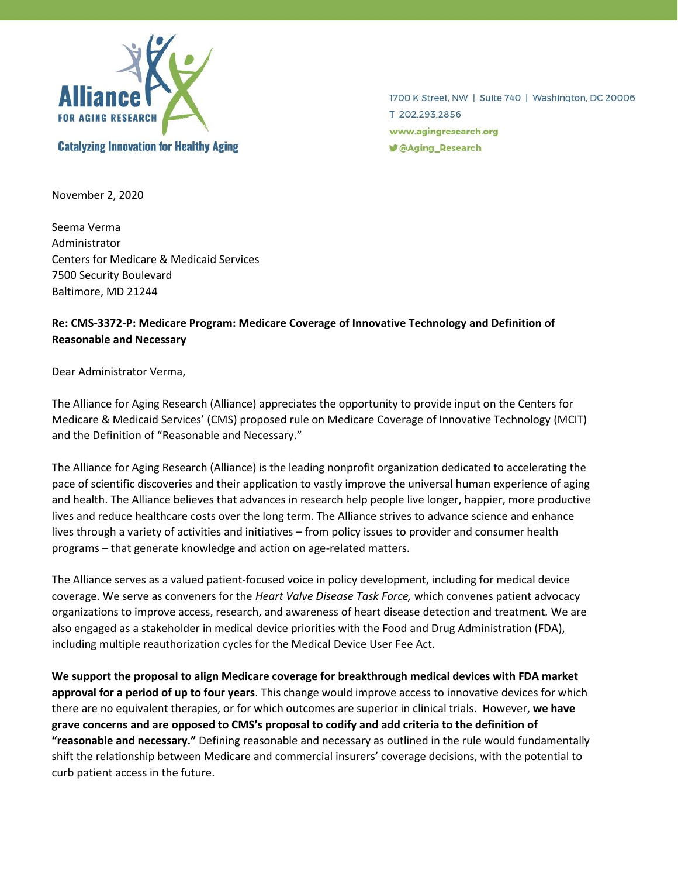

1700 K Street, NW | Suite 740 | Washington, DC 20006 T 202.293.2856 www.agingresearch.org **■ @Aging\_Research** 

November 2, 2020

Seema Verma Administrator Centers for Medicare & Medicaid Services 7500 Security Boulevard Baltimore, MD 21244

# **Re: CMS-3372-P: Medicare Program: Medicare Coverage of Innovative Technology and Definition of Reasonable and Necessary**

Dear Administrator Verma,

The Alliance for Aging Research (Alliance) appreciates the opportunity to provide input on the Centers for Medicare & Medicaid Services' (CMS) proposed rule on Medicare Coverage of Innovative Technology (MCIT) and the Definition of "Reasonable and Necessary."

The Alliance for Aging Research (Alliance) is the leading nonprofit organization dedicated to accelerating the pace of scientific discoveries and their application to vastly improve the universal human experience of aging and health. The Alliance believes that advances in research help people live longer, happier, more productive lives and reduce healthcare costs over the long term. The Alliance strives to advance science and enhance lives through a variety of activities and initiatives – from policy issues to provider and consumer health programs – that generate knowledge and action on age-related matters.

The Alliance serves as a valued patient-focused voice in policy development, including for medical device coverage. We serve as conveners for the *Heart Valve Disease Task Force,* which convenes patient advocacy organizations to improve access, research, and awareness of heart disease detection and treatment*.* We are also engaged as a stakeholder in medical device priorities with the Food and Drug Administration (FDA), including multiple reauthorization cycles for the Medical Device User Fee Act.

**We support the proposal to align Medicare coverage for breakthrough medical devices with FDA market approval for a period of up to four years**. This change would improve access to innovative devices for which there are no equivalent therapies, or for which outcomes are superior in clinical trials. However, **we have grave concerns and are opposed to CMS's proposal to codify and add criteria to the definition of "reasonable and necessary."** Defining reasonable and necessary as outlined in the rule would fundamentally shift the relationship between Medicare and commercial insurers' coverage decisions, with the potential to curb patient access in the future.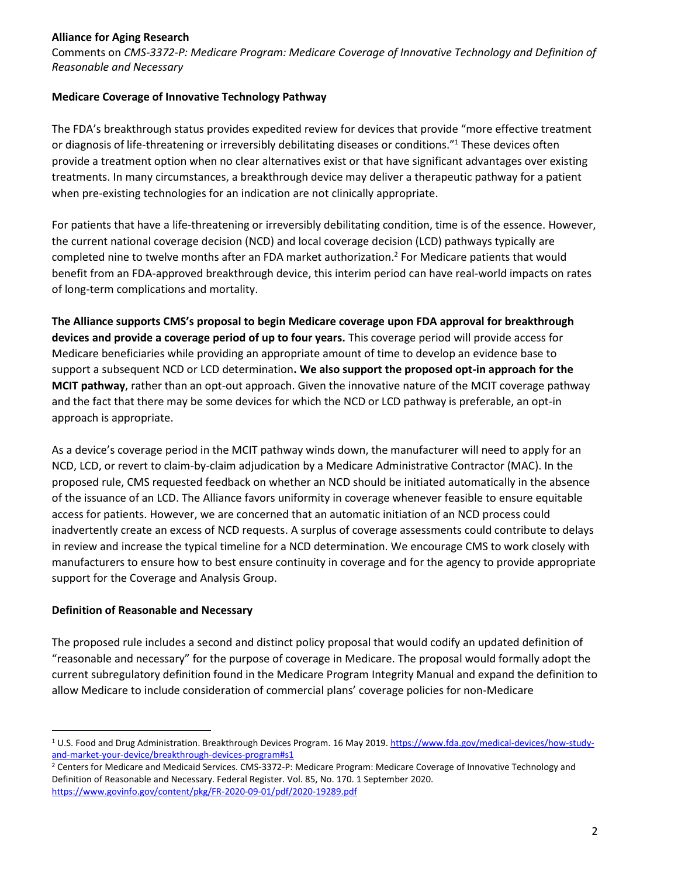### **Alliance for Aging Research**

Comments on *CMS-3372-P: Medicare Program: Medicare Coverage of Innovative Technology and Definition of Reasonable and Necessary*

## **Medicare Coverage of Innovative Technology Pathway**

The FDA's breakthrough status provides expedited review for devices that provide "more effective treatment or diagnosis of life-threatening or irreversibly debilitating diseases or conditions."<sup>1</sup> These devices often provide a treatment option when no clear alternatives exist or that have significant advantages over existing treatments. In many circumstances, a breakthrough device may deliver a therapeutic pathway for a patient when pre-existing technologies for an indication are not clinically appropriate.

For patients that have a life-threatening or irreversibly debilitating condition, time is of the essence. However, the current national coverage decision (NCD) and local coverage decision (LCD) pathways typically are completed nine to twelve months after an FDA market authorization.<sup>2</sup> For Medicare patients that would benefit from an FDA-approved breakthrough device, this interim period can have real-world impacts on rates of long-term complications and mortality.

**The Alliance supports CMS's proposal to begin Medicare coverage upon FDA approval for breakthrough devices and provide a coverage period of up to four years.** This coverage period will provide access for Medicare beneficiaries while providing an appropriate amount of time to develop an evidence base to support a subsequent NCD or LCD determination**. We also support the proposed opt-in approach for the MCIT pathway**, rather than an opt-out approach. Given the innovative nature of the MCIT coverage pathway and the fact that there may be some devices for which the NCD or LCD pathway is preferable, an opt-in approach is appropriate.

As a device's coverage period in the MCIT pathway winds down, the manufacturer will need to apply for an NCD, LCD, or revert to claim-by-claim adjudication by a Medicare Administrative Contractor (MAC). In the proposed rule, CMS requested feedback on whether an NCD should be initiated automatically in the absence of the issuance of an LCD. The Alliance favors uniformity in coverage whenever feasible to ensure equitable access for patients. However, we are concerned that an automatic initiation of an NCD process could inadvertently create an excess of NCD requests. A surplus of coverage assessments could contribute to delays in review and increase the typical timeline for a NCD determination. We encourage CMS to work closely with manufacturers to ensure how to best ensure continuity in coverage and for the agency to provide appropriate support for the Coverage and Analysis Group.

#### **Definition of Reasonable and Necessary**

The proposed rule includes a second and distinct policy proposal that would codify an updated definition of "reasonable and necessary" for the purpose of coverage in Medicare. The proposal would formally adopt the current subregulatory definition found in the Medicare Program Integrity Manual and expand the definition to allow Medicare to include consideration of commercial plans' coverage policies for non-Medicare

<sup>1</sup> U.S. Food and Drug Administration. Breakthrough Devices Program. 16 May 2019. [https://www.fda.gov/medical-devices/how-study](https://www.fda.gov/medical-devices/how-study-and-market-your-device/breakthrough-devices-program#s1)[and-market-your-device/breakthrough-devices-program#s1](https://www.fda.gov/medical-devices/how-study-and-market-your-device/breakthrough-devices-program#s1)

<sup>2</sup> Centers for Medicare and Medicaid Services. CMS-3372-P: Medicare Program: Medicare Coverage of Innovative Technology and Definition of Reasonable and Necessary. Federal Register. Vol. 85, No. 170. 1 September 2020. <https://www.govinfo.gov/content/pkg/FR-2020-09-01/pdf/2020-19289.pdf>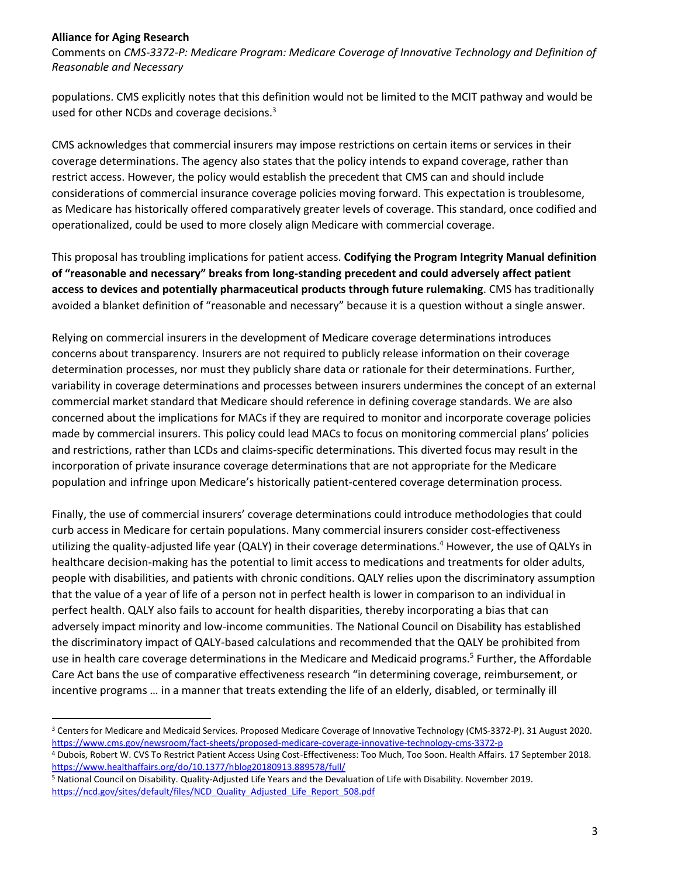#### **Alliance for Aging Research**

Comments on *CMS-3372-P: Medicare Program: Medicare Coverage of Innovative Technology and Definition of Reasonable and Necessary*

populations. CMS explicitly notes that this definition would not be limited to the MCIT pathway and would be used for other NCDs and coverage decisions.<sup>3</sup>

CMS acknowledges that commercial insurers may impose restrictions on certain items or services in their coverage determinations. The agency also states that the policy intends to expand coverage, rather than restrict access. However, the policy would establish the precedent that CMS can and should include considerations of commercial insurance coverage policies moving forward. This expectation is troublesome, as Medicare has historically offered comparatively greater levels of coverage. This standard, once codified and operationalized, could be used to more closely align Medicare with commercial coverage.

This proposal has troubling implications for patient access. **Codifying the Program Integrity Manual definition of "reasonable and necessary" breaks from long-standing precedent and could adversely affect patient access to devices and potentially pharmaceutical products through future rulemaking**. CMS has traditionally avoided a blanket definition of "reasonable and necessary" because it is a question without a single answer.

Relying on commercial insurers in the development of Medicare coverage determinations introduces concerns about transparency. Insurers are not required to publicly release information on their coverage determination processes, nor must they publicly share data or rationale for their determinations. Further, variability in coverage determinations and processes between insurers undermines the concept of an external commercial market standard that Medicare should reference in defining coverage standards. We are also concerned about the implications for MACs if they are required to monitor and incorporate coverage policies made by commercial insurers. This policy could lead MACs to focus on monitoring commercial plans' policies and restrictions, rather than LCDs and claims-specific determinations. This diverted focus may result in the incorporation of private insurance coverage determinations that are not appropriate for the Medicare population and infringe upon Medicare's historically patient-centered coverage determination process.

Finally, the use of commercial insurers' coverage determinations could introduce methodologies that could curb access in Medicare for certain populations. Many commercial insurers consider cost-effectiveness utilizing the quality-adjusted life year (QALY) in their coverage determinations. <sup>4</sup> However, the use of QALYs in healthcare decision-making has the potential to limit access to medications and treatments for older adults, people with disabilities, and patients with chronic conditions. QALY relies upon the discriminatory assumption that the value of a year of life of a person not in perfect health is lower in comparison to an individual in perfect health. QALY also fails to account for health disparities, thereby incorporating a bias that can adversely impact minority and low-income communities. The National Council on Disability has established the discriminatory impact of QALY-based calculations and recommended that the QALY be prohibited from use in health care coverage determinations in the Medicare and Medicaid programs. 5 Further, the Affordable Care Act bans the use of comparative effectiveness research "in determining coverage, reimbursement, or incentive programs … in a manner that treats extending the life of an elderly, disabled, or terminally ill

<sup>3</sup> Centers for Medicare and Medicaid Services. Proposed Medicare Coverage of Innovative Technology (CMS-3372-P). 31 August 2020. <https://www.cms.gov/newsroom/fact-sheets/proposed-medicare-coverage-innovative-technology-cms-3372-p>

<sup>4</sup> Dubois, Robert W. CVS To Restrict Patient Access Using Cost-Effectiveness: Too Much, Too Soon. Health Affairs. 17 September 2018. <https://www.healthaffairs.org/do/10.1377/hblog20180913.889578/full/>

<sup>5</sup> National Council on Disability. Quality-Adjusted Life Years and the Devaluation of Life with Disability. November 2019. [https://ncd.gov/sites/default/files/NCD\\_Quality\\_Adjusted\\_Life\\_Report\\_508.pdf](https://ncd.gov/sites/default/files/NCD_Quality_Adjusted_Life_Report_508.pdf)